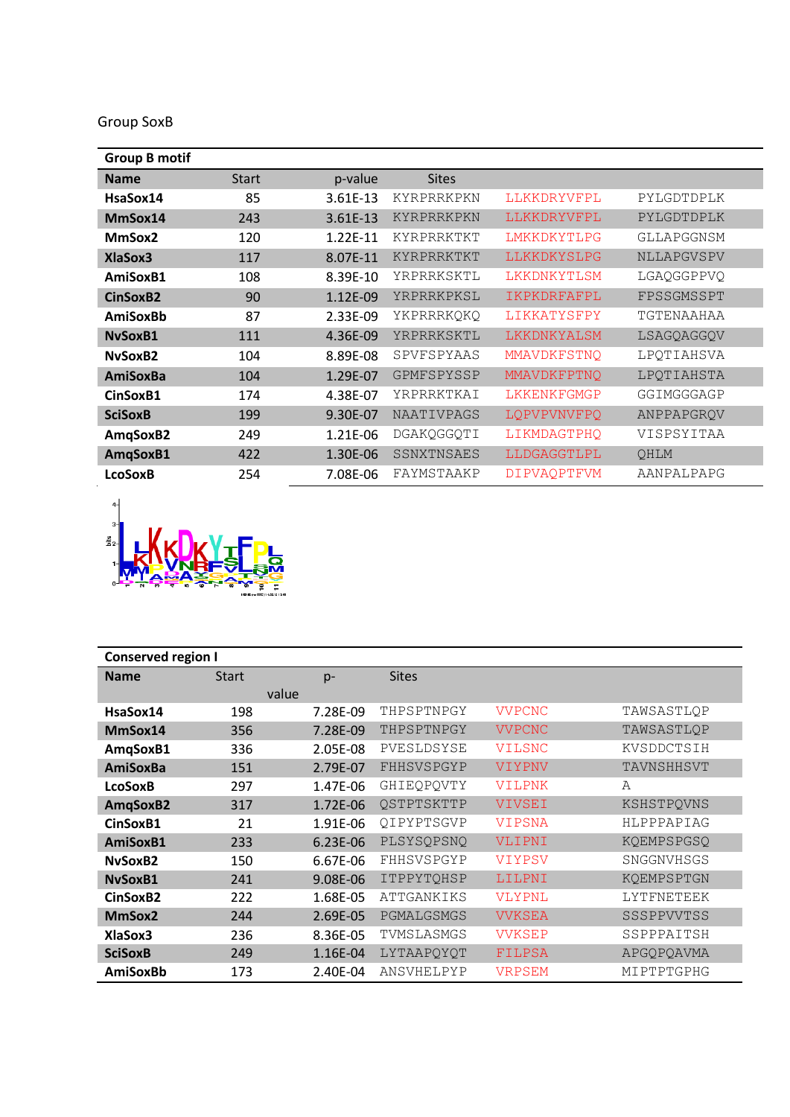Group SoxB

| <b>Group B motif</b> |              |          |                   |                    |            |
|----------------------|--------------|----------|-------------------|--------------------|------------|
| <b>Name</b>          | <b>Start</b> | p-value  | <b>Sites</b>      |                    |            |
| HsaSox14             | 85           | 3.61E-13 | KYRPRRKPKN        | LLKKDRYVFPL        | PYLGDTDPLK |
| MmSox14              | 243          | 3.61E-13 | KYRPRRKPKN        | LLKKDRYVFPL        | PYLGDTDPLK |
| MmSox2               | 120          | 1.22E-11 | KYRPRRKTKT        | LMKKDKYTLPG        | GLLAPGGNSM |
| <b>XlaSox3</b>       | 117          | 8.07E-11 | KYRPRRKTKT        | LLKKDKYSLPG        | NLLAPGVSPV |
| AmiSoxB1             | 108          | 8.39E-10 | YRPRRKSKTL        | LKKDNKYTLSM        | LGAQGGPPVQ |
| CinSoxB2             | 90           | 1.12E-09 | YRPRRKPKSL        | IKPKDRFAFPL        | FPSSGMSSPT |
| AmiSoxBb             | 87           | 2.33E-09 | YKPRRRKOKO        | LIKKATYSFPY        | TGTENAAHAA |
| NySoxB1              | 111          | 4.36E-09 | YRPRRKSKTL        | LKKDNKYALSM        | LSAGQAGGQV |
| NySoxB2              | 104          | 8.89E-08 | SPVFSPYAAS        | MMAVDKFSTNO        | LPQTIAHSVA |
| <b>AmiSoxBa</b>      | 104          | 1.29E-07 | GPMFSPYSSP        | MMAVDKFPTNQ        | LPQTIAHSTA |
| CinSoxB1             | 174          | 4.38E-07 | YRPRRKTKAI        | LKKENKFGMGP        | GGIMGGGAGP |
| <b>SciSoxB</b>       | 199          | 9.30E-07 | <b>NAATIVPAGS</b> | LQPVPVNVFPQ        | ANPPAPGROV |
| AmqSoxB2             | 249          | 1.21E-06 | DGAKQGGQTI        | LIKMDAGTPHO        | VISPSYITAA |
| AmqSoxB1             | 422          | 1.30E-06 | SSNXTNSAES        | LLDGAGGTLPL        | QHLM       |
| <b>LcoSoxB</b>       | 254          | 7.08E-06 | FAYMSTAAKP        | <b>DIPVAOPTFVM</b> | AANPALPAPG |



| <b>Conserved region I</b> |              |          |                   |               |                   |  |
|---------------------------|--------------|----------|-------------------|---------------|-------------------|--|
| <b>Name</b>               | <b>Start</b> | $p-$     | <b>Sites</b>      |               |                   |  |
|                           |              | value    |                   |               |                   |  |
| HsaSox14                  | 198          | 7.28E-09 | THPSPTNPGY        | <b>VVPCNC</b> | TAWSASTLQP        |  |
| MmSox14                   | 356          | 7.28E-09 | THPSPTNPGY        | <b>VVPCNC</b> | TAWSASTLQP        |  |
| AmqSoxB1                  | 336          | 2.05E-08 | PVESLDSYSE        | <b>VILSNC</b> | KVSDDCTSIH        |  |
| <b>AmiSoxBa</b>           | 151          | 2.79E-07 | FHHSVSPGYP        | VIYPNV        | TAVNSHHSVT        |  |
| <b>LcoSoxB</b>            | 297          | 1.47E-06 | GHIEQPQVTY        | <b>VILPNK</b> | A                 |  |
| AmqSoxB2                  | 317          | 1.72E-06 | QSTPTSKTTP        | VIVSEI        | KSHSTPQVNS        |  |
| CinSoxB1                  | 21           | 1.91E-06 | OIPYPTSGVP        | <b>VIPSNA</b> | HLPPPAPIAG        |  |
| AmiSoxB1                  | 233          | 6.23E-06 | PLSYSQPSNQ        | VLIPNI        | KQEMPSPGSQ        |  |
| NySoxB2                   | 150          | 6.67E-06 | FHHSVSPGYP        | <b>VIYPSV</b> | SNGGNVHSGS        |  |
| NySoxB1                   | 241          | 9.08E-06 | ITPPYTQHSP        | LILPNI        | KQEMPSPTGN        |  |
| CinSoxB2                  | 222          | 1.68E-05 | <b>ATTGANKIKS</b> | <b>VLYPNL</b> | <b>LYTFNETEEK</b> |  |
| MmSox2                    | 244          | 2.69E-05 | PGMALGSMGS        | <b>VVKSEA</b> | SSSPPVVTSS        |  |
| XlaSox3                   | 236          | 8.36E-05 | TVMSLASMGS        | <b>VVKSEP</b> | SSPPPAITSH        |  |
| <b>SciSoxB</b>            | 249          | 1.16E-04 | LYTAAPOYOT        | FILPSA        | APGQPQAVMA        |  |
| AmiSoxBb                  | 173          | 2.40E-04 | ANSVHELPYP        | <b>VRPSEM</b> | MIPTPTGPHG        |  |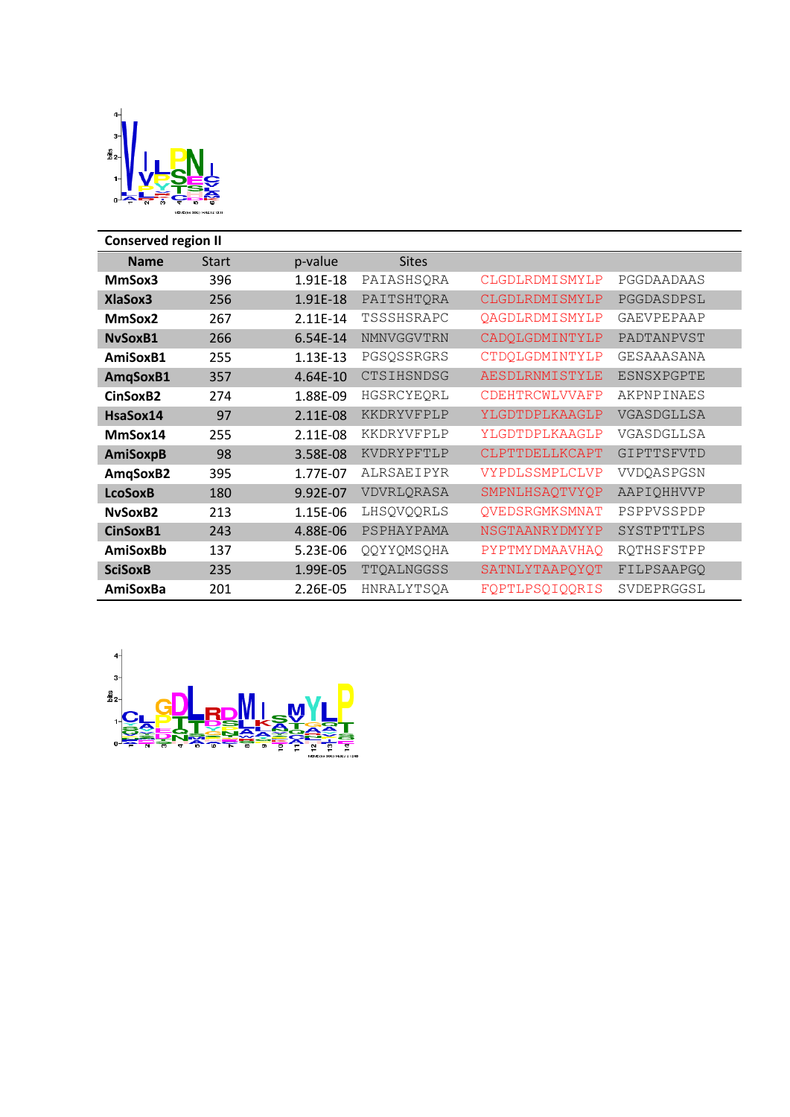

| <b>Conserved region II</b> |              |          |              |                       |                   |  |  |
|----------------------------|--------------|----------|--------------|-----------------------|-------------------|--|--|
| <b>Name</b>                | <b>Start</b> | p-value  | <b>Sites</b> |                       |                   |  |  |
| MmSox3                     | 396          | 1.91E-18 | PAIASHSQRA   | CLGDLRDMISMYLP        | PGGDAADAAS        |  |  |
| <b>XlaSox3</b>             | 256          | 1.91E-18 | PAITSHTQRA   | <b>CLGDLRDMISMYLP</b> | PGGDASDPSL        |  |  |
| MmSox2                     | 267          | 2.11E-14 | TSSSHSRAPC   | <b>QAGDLRDMISMYLP</b> | <b>GAEVPEPAAP</b> |  |  |
| NvSoxB1                    | 266          | 6.54E-14 | NMNVGGVTRN   | CADQLGDMINTYLP        | PADTANPVST        |  |  |
| AmiSoxB1                   | 255          | 1.13E-13 | PGSQSSRGRS   | CTDQLGDMINTYLP        | GESAAASANA        |  |  |
| AmqSoxB1                   | 357          | 4.64E-10 | CTSIHSNDSG   | <b>AESDLRNMISTYLE</b> | <b>ESNSXPGPTE</b> |  |  |
| CinSoxB2                   | 274          | 1.88E-09 | HGSRCYEQRL   | CDEHTRCWLVVAFP        | AKPNPINAES        |  |  |
| HsaSox14                   | 97           | 2.11E-08 | KKDRYVFPLP   | YLGDTDPLKAAGLP        | VGASDGLLSA        |  |  |
| MmSox14                    | 255          | 2.11E-08 | KKDRYVFPLP   | YLGDTDPLKAAGLP        | VGASDGLLSA        |  |  |
| <b>AmiSoxpB</b>            | 98           | 3.58E-08 | KVDRYPFTLP   | CLPTTDELLKCAPT        | GIPTTSFVTD        |  |  |
| AmqSoxB2                   | 395          | 1.77E-07 | ALRSAEIPYR   | VYPDLSSMPLCLVP        | VVDOASPGSN        |  |  |
| <b>LcoSoxB</b>             | 180          | 9.92E-07 | VDVRLQRASA   | SMPNLHSAQTVYQP        | AAPIQHHVVP        |  |  |
| NySoxB2                    | 213          | 1.15E-06 | LHSQVQQRLS   | QVEDSRGMKSMNAT        | PSPPVSSPDP        |  |  |
| CinSoxB1                   | 243          | 4.88E-06 | PSPHAYPAMA   | NSGTAANRYDMYYP        | SYSTPTTLPS        |  |  |
| <b>AmiSoxBb</b>            | 137          | 5.23E-06 | QQYYQMSQHA   | PYPTMYDMAAVHAQ        | RQTHSFSTPP        |  |  |
| <b>SciSoxB</b>             | 235          | 1.99E-05 | TTQALNGGSS   | SATNLYTAAPQYQT        | FILPSAAPGQ        |  |  |
| AmiSoxBa                   | 201          | 2.26E-05 | HNRALYTSQA   | FQPTLPSQIQQRIS        | SVDEPRGGSL        |  |  |

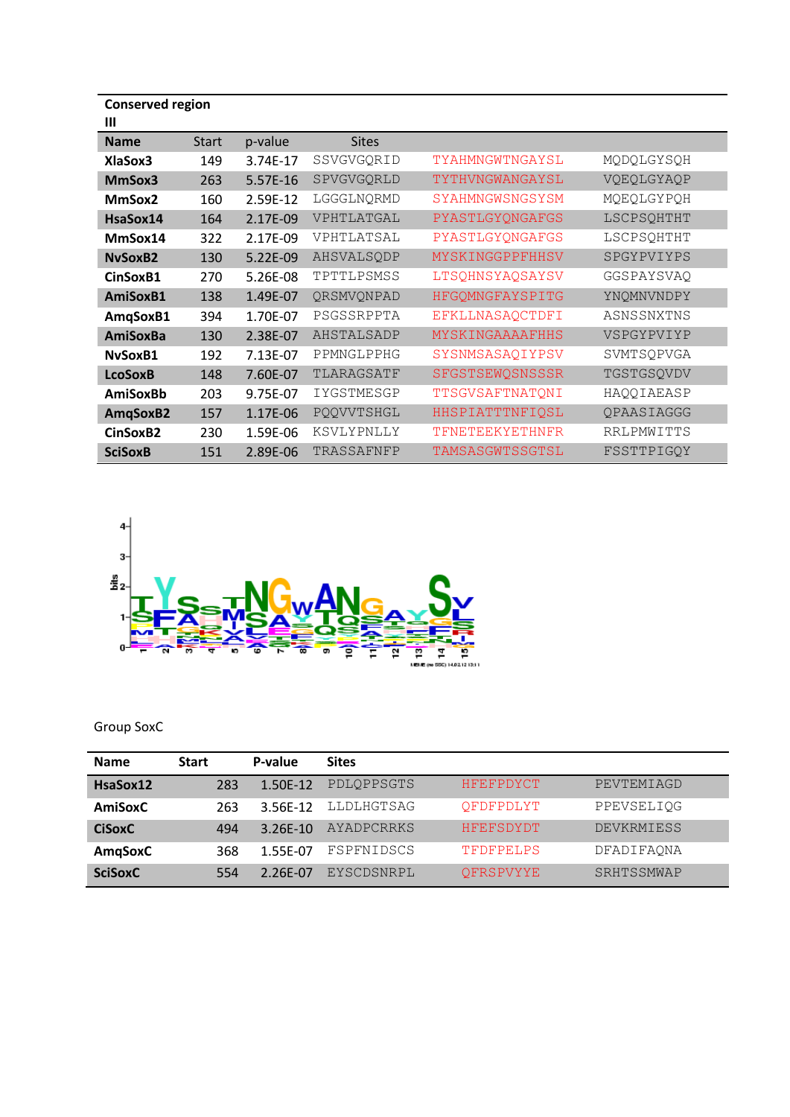| <b>Conserved region</b><br>Ш |              |          |              |                        |                   |
|------------------------------|--------------|----------|--------------|------------------------|-------------------|
| <b>Name</b>                  | <b>Start</b> | p-value  | <b>Sites</b> |                        |                   |
| XlaSox3                      | 149          | 3.74E-17 | SSVGVGQRID   | TYAHMNGWTNGAYSL        | MQDQLGYSQH        |
| MmSox3                       | 263          | 5.57E-16 | SPVGVGQRLD   | TYTHVNGWANGAYSL        | VQEQLGYAQP        |
| MmSox2                       | 160          | 2.59E-12 | LGGGLNQRMD   | SYAHMNGWSNGSYSM        | MQEQLGYPQH        |
| HsaSox14                     | 164          | 2.17E-09 | VPHTLATGAL   | PYASTLGYQNGAFGS        | LSCPSQHTHT        |
| MmSox14                      | 322          | 2.17E-09 | VPHTLATSAL   | PYASTLGYQNGAFGS        | LSCPSQHTHT        |
| <b>NySoxB2</b>               | 130          | 5.22E-09 | AHSVALSQDP   | MYSKINGGPPFHHSV        | SPGYPVIYPS        |
| CinSoxB1                     | 270          | 5.26E-08 | TPTTLPSMSS   | LTSQHNSYAQSAYSV        | GGSPAYSVAQ        |
| AmiSoxB1                     | 138          | 1.49E-07 | QRSMVQNPAD   | HFGQMNGFAYSPITG        | YNQMNVNDPY        |
| AmqSoxB1                     | 394          | 1.70E-07 | PSGSSRPPTA   | EFKLLNASAQCTDFI        | ASNSSNXTNS        |
| <b>AmiSoxBa</b>              | 130          | 2.38E-07 | AHSTALSADP   | <b>MYSKINGAAAAFHHS</b> | VSPGYPVIYP        |
| NvSoxB1                      | 192          | 7.13E-07 | PPMNGLPPHG   | SYSNMSASAQIYPSV        | SVMTSQPVGA        |
| <b>LcoSoxB</b>               | 148          | 7.60E-07 | TLARAGSATF   | SFGSTSEWQSNSSSR        | TGSTGSQVDV        |
| AmiSoxBb                     | 203          | 9.75E-07 | IYGSTMESGP   | TTSGVSAFTNATQNI        | HAQQIAEASP        |
| AmqSoxB2                     | 157          | 1.17E-06 | PQQVVTSHGL   | HHSPIATTTNFIQSL        | QPAASIAGGG        |
| CinSoxB2                     | 230          | 1.59E-06 | KSVLYPNLLY   | TFNETEEKYETHNFR        | <b>RRLPMWITTS</b> |
| <b>SciSoxB</b>               | 151          | 2.89E-06 | TRASSAFNFP   | TAMSASGWTSSGTSL        | FSSTTPIGQY        |



Group SoxC

| <b>Name</b>    | <b>Start</b> | P-value    | <b>Sites</b>      |                  |            |
|----------------|--------------|------------|-------------------|------------------|------------|
| HsaSox12       | 283          | $1.50F-12$ | PDLOPPSGTS        | <b>HFEFPDYCT</b> | PEVTEMIAGD |
| AmiSoxC        | 263          | 3.56F-12   | LLDLHGTSAG        | OFDFPDLYT        | PPEVSELIQG |
| <b>CiSoxC</b>  | 494          | $3.26F-10$ | <b>AYADPCRRKS</b> | <b>HFEFSDYDT</b> | DEVKRMIESS |
| AmqSoxC        | 368          | 1.55E-07   | FSPFNIDSCS        | TFDFPELPS        | DFADIFAONA |
| <b>SciSoxC</b> | 554          | 2.26F-07   | EYSCDSNRPL        | OFRSPVYYE        | SRHTSSMWAP |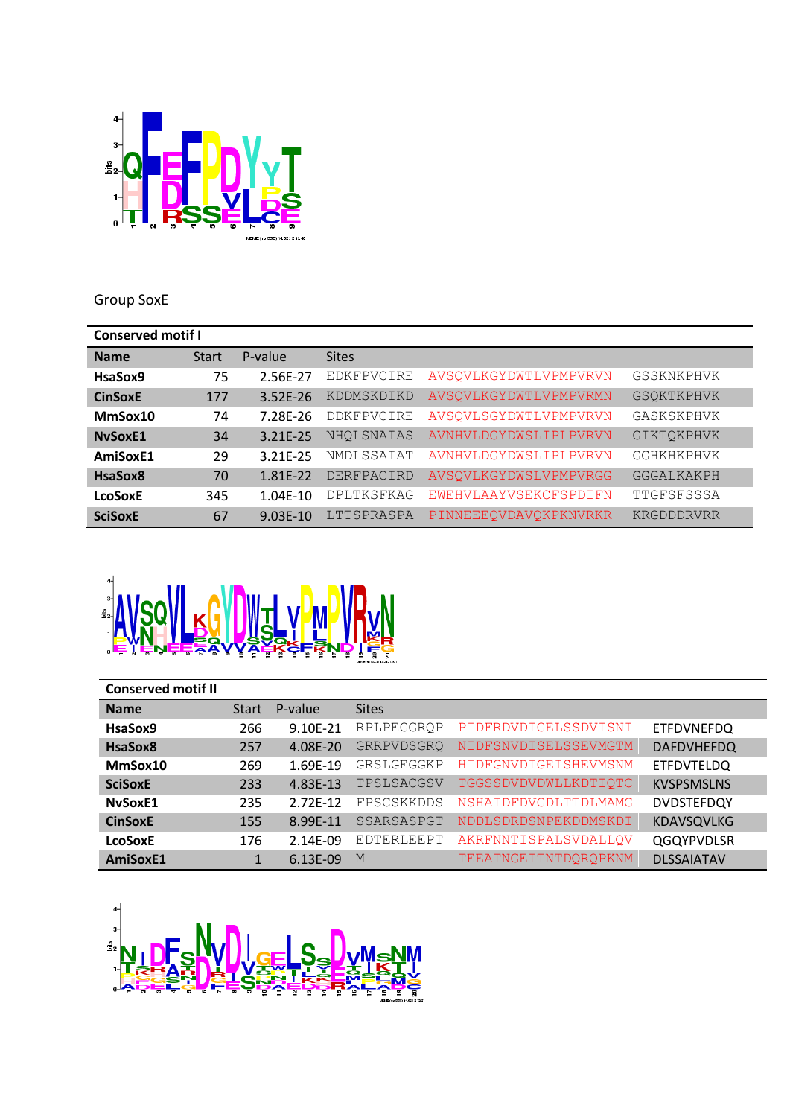

## Group SoxE

| <b>Conserved motif I</b> |       |              |                   |                       |                   |  |
|--------------------------|-------|--------------|-------------------|-----------------------|-------------------|--|
| <b>Name</b>              | Start | P-value      | <b>Sites</b>      |                       |                   |  |
| HsaSox9                  | 75    | 2.56E-27     | <b>EDKFPVCIRE</b> | AVSOVLKGYDWTLVPMPVRVN | GSSKNKPHVK        |  |
| <b>CinSoxE</b>           | 177   | $3.52E - 26$ | KDDMSKDIKD        | AVSOVLKGYDWTLVPMPVRMN | <b>GSOKTKPHVK</b> |  |
| MmSox10                  | 74    | 7.28E-26     | <b>DDKFPVCIRE</b> | AVSQVLSGYDWTLVPMPVRVN | GASKSKPHVK        |  |
| <b>NySoxE1</b>           | 34    | 3.21E-25     | NHOLSNAIAS        | AVNHVLDGYDWSLIPLPVRVN | <b>GIKTOKPHVK</b> |  |
| AmiSoxE1                 | 29    | 3.21F-25     | NMDLSSAIAT        | AVNHVLDGYDWSLIPLPVRVN | GGHKHKPHVK        |  |
| HsaSox8                  | 70    | 1.81E-22     | DERFPACIRD        | AVSOVLKGYDWSLVPMPVRGG | GGGALKAKPH        |  |
| <b>LcoSoxE</b>           | 345   | 1.04E-10     | <b>DPLTKSFKAG</b> | EWEHVLAAYVSEKCFSPDIFN | TTGFSFSSSA        |  |
| <b>SciSoxE</b>           | 67    | $9.03E-10$   | LTTSPRASPA        | PINNEEEQVDAVQKPKNVRKR | KRGDDDRVRR        |  |



| <b>Conserved motif II</b> |              |          |              |                      |                   |
|---------------------------|--------------|----------|--------------|----------------------|-------------------|
| <b>Name</b>               | <b>Start</b> | P-value  | <b>Sites</b> |                      |                   |
| HsaSox9                   | 266          | 9.10E-21 | RPLPEGGROP   | PIDFRDVDIGELSSDVISNI | <b>ETFDVNEFDQ</b> |
| HsaSox8                   | 257          | 4.08E-20 | GRRPVDSGRQ   | NIDFSNVDISELSSEVMGTM | <b>DAFDVHEFDQ</b> |
| MmSox10                   | 269          | 1.69E-19 | GRSLGEGGKP   | HIDFGNVDIGEISHEVMSNM | <b>ETFDVTELDQ</b> |
| <b>SciSoxE</b>            | 233          | 4.83E-13 | TPSLSACGSV   | TGGSSDVDVDWLLKDTIOTC | <b>KVSPSMSLNS</b> |
| NySoxE1                   | 235          | 2.72E-12 | FPSCSKKDDS   | NSHAIDFDVGDLTTDLMAMG | <b>DVDSTEFDQY</b> |
| <b>CinSoxE</b>            | 155          | 8.99E-11 | SSARSASPGT   | NDDLSDRDSNPEKDDMSKDI | <b>KDAVSQVLKG</b> |
| <b>LcoSoxE</b>            | 176          | 2.14E-09 | EDTERLEEPT   | AKRFNNTISPALSVDALLOV | <b>QGQYPVDLSR</b> |
| AmiSoxE1                  |              | 6.13E-09 | M            | TEEATNGEITNTDOROPKNM | <b>DLSSAIATAV</b> |